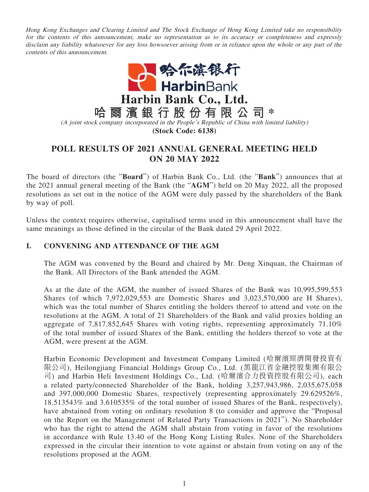Hong Kong Exchanges and Clearing Limited and The Stock Exchange of Hong Kong Limited take no responsibility for the contents of this announcement, make no representation as to its accuracy or completeness and expressly disclaim any liability whatsoever for any loss howsoever arising from or in reliance upon the whole or any part of the contents of this announcement.



## **POLL RESULTS OF 2021 ANNUAL GENERAL MEETING HELD ON 20 MAY 2022**

The board of directors (the "**Board**") of Harbin Bank Co., Ltd. (the "**Bank**") announces that at the 2021 annual general meeting of the Bank (the "**AGM**") held on 20 May 2022, all the proposed resolutions as set out in the notice of the AGM were duly passed by the shareholders of the Bank by way of poll.

Unless the context requires otherwise, capitalised terms used in this announcement shall have the same meanings as those defined in the circular of the Bank dated 29 April 2022.

## **I. CONVENING AND ATTENDANCE OF THE AGM**

The AGM was convened by the Board and chaired by Mr. Deng Xinquan, the Chairman of the Bank. All Directors of the Bank attended the AGM.

As at the date of the AGM, the number of issued Shares of the Bank was 10,995,599,553 Shares (of which 7,972,029,553 are Domestic Shares and 3,023,570,000 are H Shares), which was the total number of Shares entitling the holders thereof to attend and vote on the resolutions at the AGM. A total of 21 Shareholders of the Bank and valid proxies holding an aggregate of 7,817,852,645 Shares with voting rights, representing approximately 71.10% of the total number of issued Shares of the Bank, entitling the holders thereof to vote at the AGM, were present at the AGM.

Harbin Economic Development and Investment Company Limited (哈爾濱經濟開發投資有 限公司), Heilongjiang Financial Holdings Group Co., Ltd. (黑龍江省金融控股集團有限公 司) and Harbin Heli Investment Holdings Co., Ltd. (哈爾濱合力投資控股有限公司), each a related party/connected Shareholder of the Bank, holding 3,257,943,986, 2,035,675,058 and 397,000,000 Domestic Shares, respectively (representing approximately 29.629526%, 18.513543% and 3.610535% of the total number of issued Shares of the Bank, respectively), have abstained from voting on ordinary resolution 8 (to consider and approve the "Proposal on the Report on the Management of Related Party Transactions in 2021"). No Shareholder who has the right to attend the AGM shall abstain from voting in favor of the resolutions in accordance with Rule 13.40 of the Hong Kong Listing Rules. None of the Shareholders expressed in the circular their intention to vote against or abstain from voting on any of the resolutions proposed at the AGM.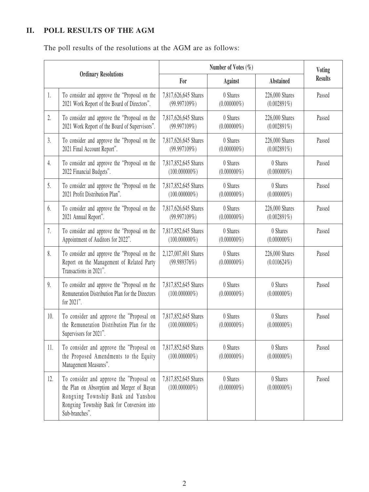## **II. POLL RESULTS OF THE AGM**

The poll results of the resolutions at the AGM are as follows:

| <b>Ordinary Resolutions</b> |                                                                                                                                                                                              | Number of Votes $(\%)$                   |                            |                                  | <b>Voting</b>  |
|-----------------------------|----------------------------------------------------------------------------------------------------------------------------------------------------------------------------------------------|------------------------------------------|----------------------------|----------------------------------|----------------|
|                             |                                                                                                                                                                                              | For                                      | <b>Against</b>             | <b>Abstained</b>                 | <b>Results</b> |
| 1.                          | To consider and approve the "Proposal on the<br>2021 Work Report of the Board of Directors".                                                                                                 | 7,817,626,645 Shares<br>(99.997109%)     | 0 Shares<br>$(0.000000\%)$ | 226,000 Shares<br>$(0.002891\%)$ | Passed         |
| 2.                          | To consider and approve the "Proposal on the<br>2021 Work Report of the Board of Supervisors".                                                                                               | 7,817,626,645 Shares<br>(99.997109%)     | 0 Shares<br>$(0.000000\%)$ | 226,000 Shares<br>$(0.002891\%)$ | Passed         |
| 3.                          | To consider and approve the "Proposal on the<br>2021 Final Account Report".                                                                                                                  | 7,817,626,645 Shares<br>(99.997109%)     | 0 Shares<br>$(0.000000\%)$ | 226,000 Shares<br>$(0.002891\%)$ | Passed         |
| 4.                          | To consider and approve the "Proposal on the<br>2022 Financial Budgets".                                                                                                                     | 7,817,852,645 Shares<br>$(100.000000\%)$ | 0 Shares<br>$(0.000000\%)$ | 0 Shares<br>$(0.000000\%)$       | Passed         |
| 5.                          | To consider and approve the "Proposal on the<br>2021 Profit Distribution Plan".                                                                                                              | 7,817,852,645 Shares<br>$(100.000000\%)$ | 0 Shares<br>$(0.000000\%)$ | 0 Shares<br>$(0.000000\%)$       | Passed         |
| 6.                          | To consider and approve the "Proposal on the<br>2021 Annual Report".                                                                                                                         | 7,817,626,645 Shares<br>(99.997109%)     | 0 Shares<br>$(0.000000\%)$ | 226,000 Shares<br>$(0.002891\%)$ | Passed         |
| 7.                          | To consider and approve the "Proposal on the<br>Appointment of Auditors for 2022".                                                                                                           | 7,817,852,645 Shares<br>$(100.000000\%)$ | 0 Shares<br>$(0.000000\%)$ | 0 Shares<br>$(0.000000\%)$       | Passed         |
| 8.                          | To consider and approve the "Proposal on the<br>Report on the Management of Related Party<br>Transactions in 2021".                                                                          | 2,127,007,601 Shares<br>(99.989376%)     | 0 Shares<br>$(0.000000\%)$ | 226,000 Shares<br>$(0.010624\%)$ | Passed         |
| 9.                          | To consider and approve the "Proposal on the<br>Remuneration Distribution Plan for the Directors<br>for 2021".                                                                               | 7,817,852,645 Shares<br>$(100.000000\%)$ | 0 Shares<br>$(0.000000\%)$ | 0 Shares<br>$(0.000000\%)$       | Passed         |
| 10.                         | To consider and approve the "Proposal on<br>the Remuneration Distribution Plan for the<br>Supervisors for 2021".                                                                             | 7,817,852,645 Shares<br>$(100.000000\%)$ | 0 Shares<br>$(0.000000\%)$ | 0 Shares<br>$(0.000000\%)$       | Passed         |
| 11.                         | To consider and approve the "Proposal on<br>the Proposed Amendments to the Equity<br>Management Measures".                                                                                   | 7,817,852,645 Shares<br>$(100.000000\%)$ | 0 Shares<br>$(0.000000\%)$ | 0 Shares<br>$(0.000000\%)$       | Passed         |
| 12.                         | To consider and approve the "Proposal on<br>the Plan on Absorption and Merger of Bayan<br>Rongxing Township Bank and Yanshou<br>Rongxing Township Bank for Conversion into<br>Sub-branches". | 7,817,852,645 Shares<br>$(100.000000\%)$ | 0 Shares<br>$(0.000000\%)$ | 0 Shares<br>$(0.000000\%)$       | Passed         |